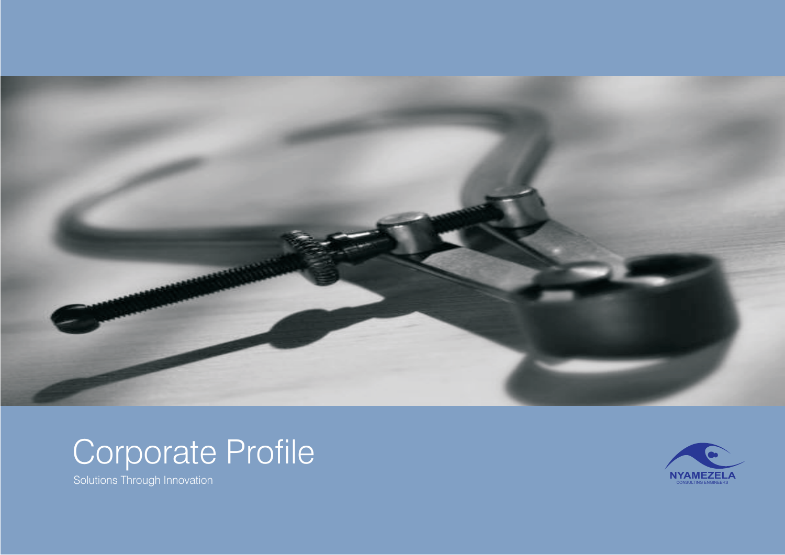





Solutions Through Innovation **Notes and the Consultance of the Consultance of the Consulting Engineers**  $\blacksquare$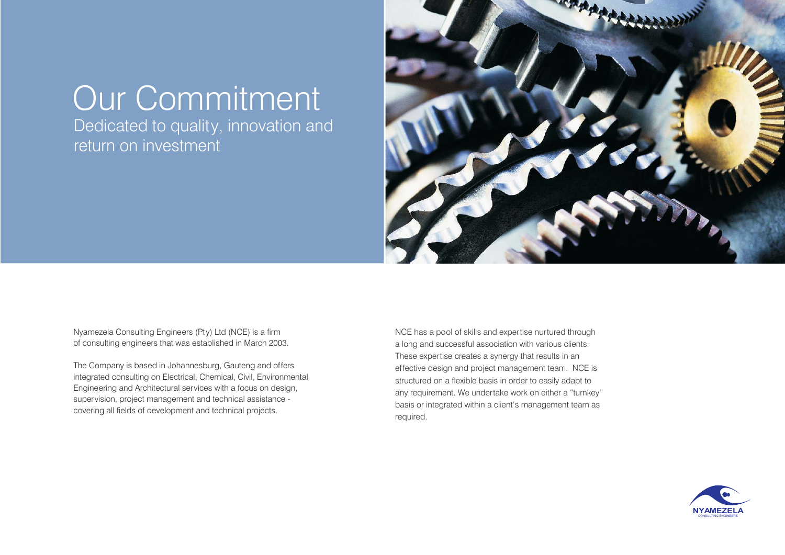## Our Commitment

Dedicated to quality, innovation and return on investment



Nyamezela Consulting Engineers (Pty) Ltd (NCE) is a firm of consulting engineers that was established in March 2003.

The Company is based in Johannesburg, Gauteng and offers integrated consulting on Electrical, Chemical, Civil, Environmental Engineering and Architectural services with a focus on design, supervision, project management and technical assistance covering all fields of development and technical projects.

NCE has a pool of skills and expertise nurtured through a long and successful association with various clients. These expertise creates a synergy that results in an effective design and project management team. NCE is structured on a flexible basis in order to easily adapt to any requirement. We undertake work on either a "turnkey" basis or integrated within a client's management team as required.

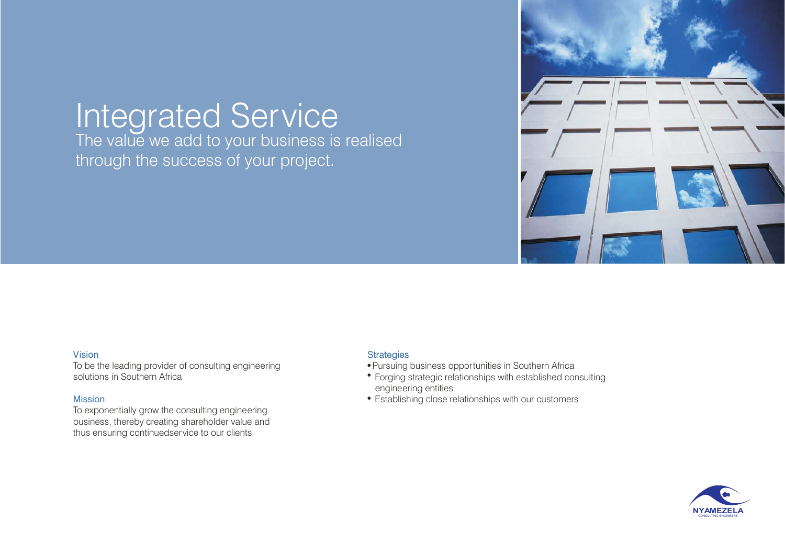# Integrated Service<br>The value we add to your business is realised

through the success of your project.



#### Vision

To be the leading provider of consulting engineering solutions in Southern Africa

#### Mission

To exponentially grow the consulting engineering business, thereby creating shareholder value and thus ensuring continuedservice to our clients

#### **Strategies**

- Pursuing business opportunities in Southern Africa
- Forging strategic relationships with established consulting engineering entities
- Establishing close relationships with our customers

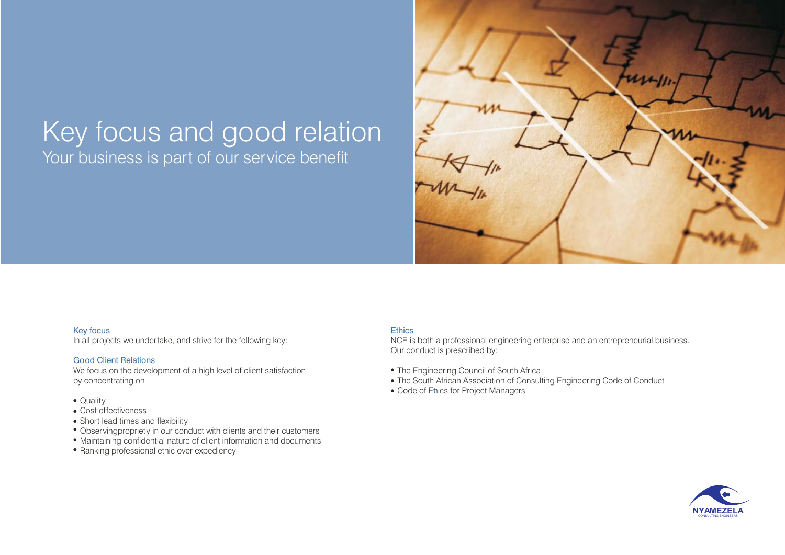### Key focus and good relation Your business is part of our service benefit



#### Key focus

In all projects we undertake, and strive for the following key:

#### Good Client Relations

We focus on the development of a high level of client satisfaction by concentrating on

- Quality
- Cost effectiveness
- Short lead times and flexibility
- Observingpropriety in our conduct with clients and their customers
- Maintaining confidential nature of client information and documents
- Ranking professional ethic over expediency

#### **Ethics**

NCE is both a professional engineering enterprise and an entrepreneurial business. Our conduct is prescribed by:

- The Engineering Council of South Africa
- The South African Association of Consulting Engineering Code of Conduct
- Code of Ehics for Project Managers

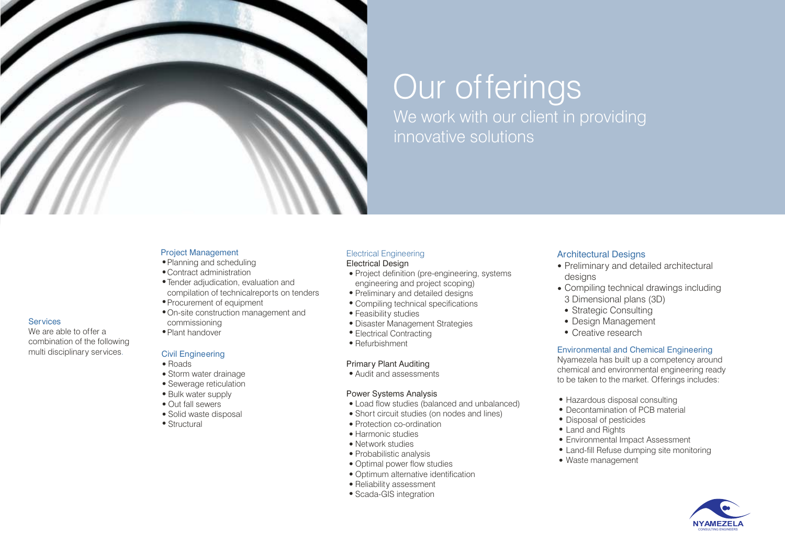

## Our offerings

We work with our client in providing innovative solutions

#### Project Management

- Planning and scheduling
- Contract administration
- Tender adjudication, evaluation and compilation of technicalreports on tenders
- Procurement of equipment
- On-site construction management and commissioning
- Plant handover

#### Civil Engineering

• Roads

**Services** 

. multi disciplinary services

We are able to offer acombination of the following

- Storm water drainage
- Sewerage reticulation
- Bulk water supply
- Out fall sewers
- Solid waste disposal
- Structural

#### Electrical Engineering

#### Electrical Design

- Project definition (pre-engineering, systems engineering and project scoping)
- Preliminary and detailed designs
- Compiling technical specifications
- Feasibility studies
- Disaster Management Strategies
- Electrical Contracting
- Refurbishment

#### Primary Plant Auditing

Audit and assessments

#### Power Systems Analysis

- Load flow studies (balanced and unbalanced)
- Short circuit studies (on nodes and lines)
- Protection co-ordination
- Harmonic studies
- Network studies
- Probabilistic analysis
- Optimal power flow studies
- Optimum alternative identification
- Reliability assessment
- Scada-GIS integration

#### **Architectural Designs**

- Preliminary and detailed architectural desians
- Compiling technical drawings including 3 Dimensional plans (3D)
- Strategic Consulting
- Design Management
- Creative research

#### Environmental and Chemical Engineering

Nyamezela has built up a competency around chemical and environmental engineering ready to be taken to the market. Offerings includes:

- Hazardous disposal consulting
- Decontamination of PCB material
- Disposal of pesticides
- Land and Rights
- Environmental Impact Assessment
- Land-fill Refuse dumping site monitoring
- Waste management

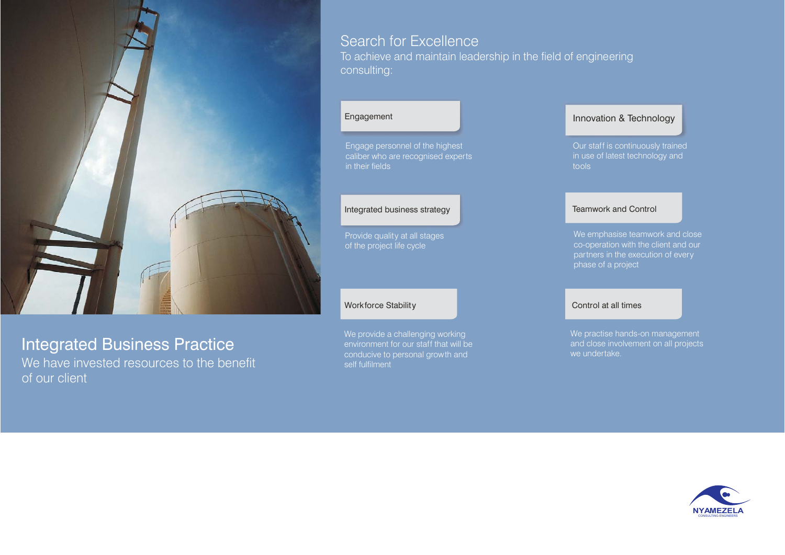

### Integrated Business Practice

We have invested resources to the benefit of our client

### Search for Excellence

To achieve and maintain leadership in the field of engineering consulting:

#### Engagement

Engage personnel of the highest caliber who are recognised experts in their fields

#### Integrated business strategy

Provide quality at all stages of the project life cycle

#### Workforce Stability

We provide a challenging working environment for our staff that will be conducive to personal growth and self fulfilment

#### Innovation & Technology

in use of latest technology and tools

#### Teamwork and Control

We emphasise teamwork and close co-operation with the client and our

#### Control at all times

We practise hands-on management we undertake.

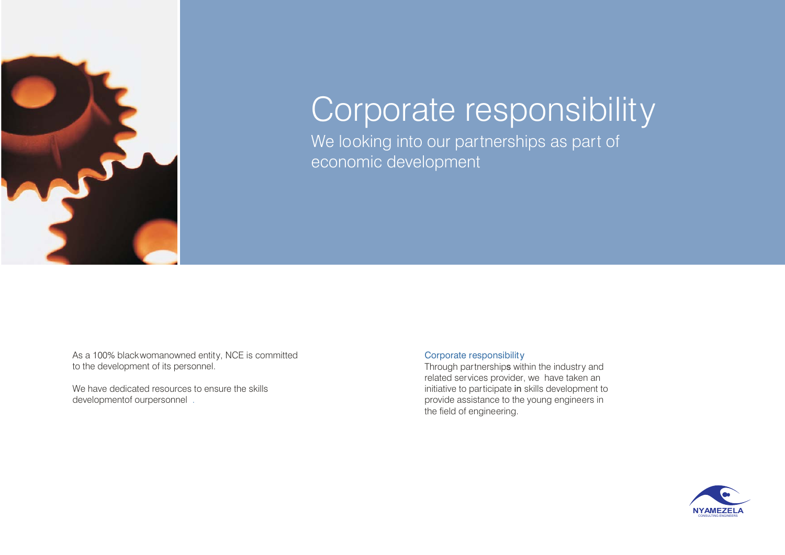

## Corporate responsibility

We looking into our partnerships as part of economic development

As a 100% blackwomanowned entity, NCE is committed Corporate responsibility to the development of its personnel.

We have dedicated resources to ensure the skills developmentof ourpersonnel .

Through partnerships within the industry and related services provider, we have taken an initiative to participate in skills development to provide assistance to the young engineers in the field of engineering.